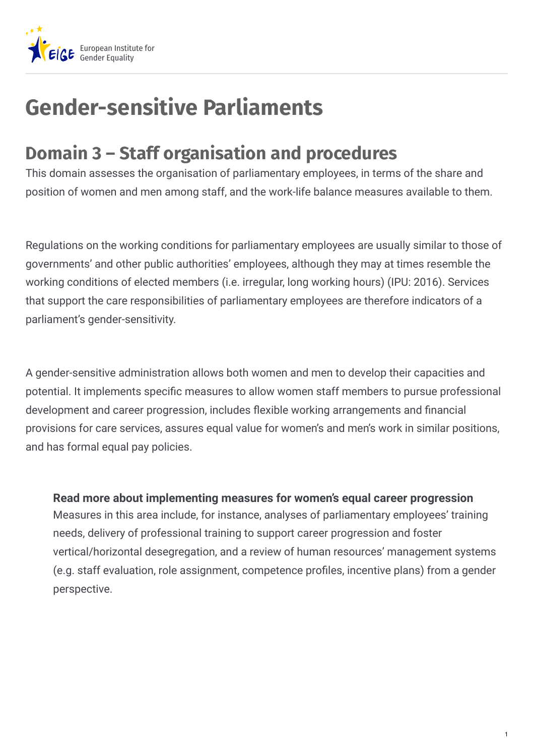

## **Gender-sensitive Parliaments**

## **Domain 3 – Staff organisation and procedures**

This domain assesses the organisation of parliamentary employees, in terms of the share and position of women and men among staff, and the work-life balance measures available to them.

Regulations on the working conditions for parliamentary employees are usually similar to those of governments' and other public authorities' employees, although they may at times resemble the working conditions of elected members (i.e. irregular, long working hours) (IPU: 2016). Services that support the care responsibilities of parliamentary employees are therefore indicators of a parliament's gender-sensitivity.

A gender-sensitive administration allows both women and men to develop their capacities and potential. It implements specific measures to allow women staff members to pursue professional development and career progression, includes flexible working arrangements and financial provisions for care services, assures equal value for women's and men's work in similar positions, and has formal equal pay policies.

Measures in this area include, for instance, analyses of parliamentary employees' training needs, delivery of professional training to support career progression and foster vertical/horizontal desegregation, and a review of human resources' management systems (e.g. staff evaluation, role assignment, competence profiles, incentive plans) from a gender perspective. **Read more about implementing measures for women's equal career progression**